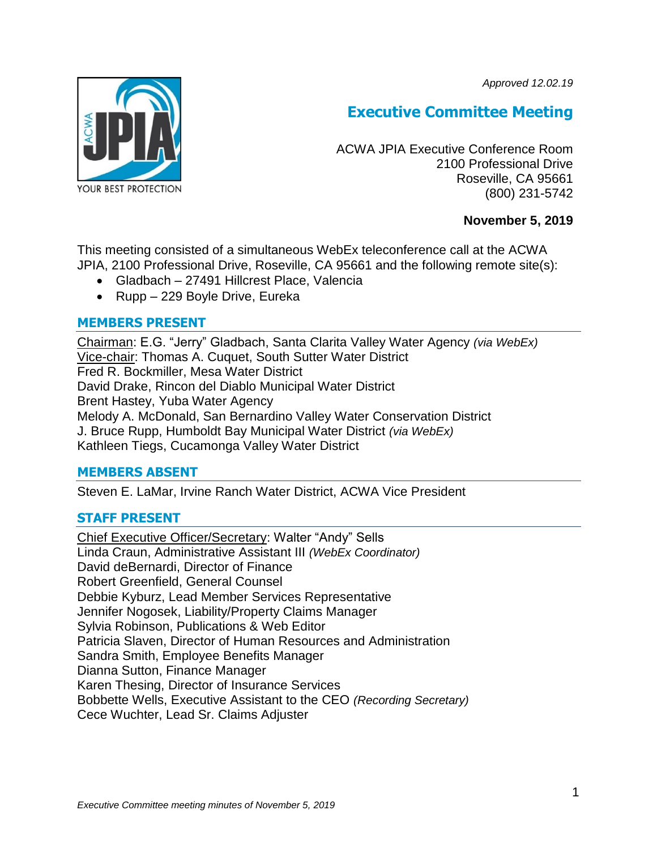*Approved 12.02.19*



# **Executive Committee Meeting**

ACWA JPIA Executive Conference Room 2100 Professional Drive Roseville, CA 95661 (800) 231-5742

# **November 5, 2019**

This meeting consisted of a simultaneous WebEx teleconference call at the ACWA JPIA, 2100 Professional Drive, Roseville, CA 95661 and the following remote site(s):

- Gladbach 27491 Hillcrest Place, Valencia
- Rupp 229 Boyle Drive, Eureka

# **MEMBERS PRESENT**

Chairman: E.G. "Jerry" Gladbach, Santa Clarita Valley Water Agency *(via WebEx)* Vice-chair: Thomas A. Cuquet, South Sutter Water District Fred R. Bockmiller, Mesa Water District David Drake, Rincon del Diablo Municipal Water District Brent Hastey, Yuba Water Agency Melody A. McDonald, San Bernardino Valley Water Conservation District J. Bruce Rupp, Humboldt Bay Municipal Water District *(via WebEx)* Kathleen Tiegs, Cucamonga Valley Water District

# **MEMBERS ABSENT**

Steven E. LaMar, Irvine Ranch Water District, ACWA Vice President

# **STAFF PRESENT**

Chief Executive Officer/Secretary: Walter "Andy" Sells Linda Craun, Administrative Assistant III *(WebEx Coordinator)* David deBernardi, Director of Finance Robert Greenfield, General Counsel Debbie Kyburz, Lead Member Services Representative Jennifer Nogosek, Liability/Property Claims Manager Sylvia Robinson, Publications & Web Editor Patricia Slaven, Director of Human Resources and Administration Sandra Smith, Employee Benefits Manager Dianna Sutton, Finance Manager Karen Thesing, Director of Insurance Services Bobbette Wells, Executive Assistant to the CEO *(Recording Secretary)* Cece Wuchter, Lead Sr. Claims Adjuster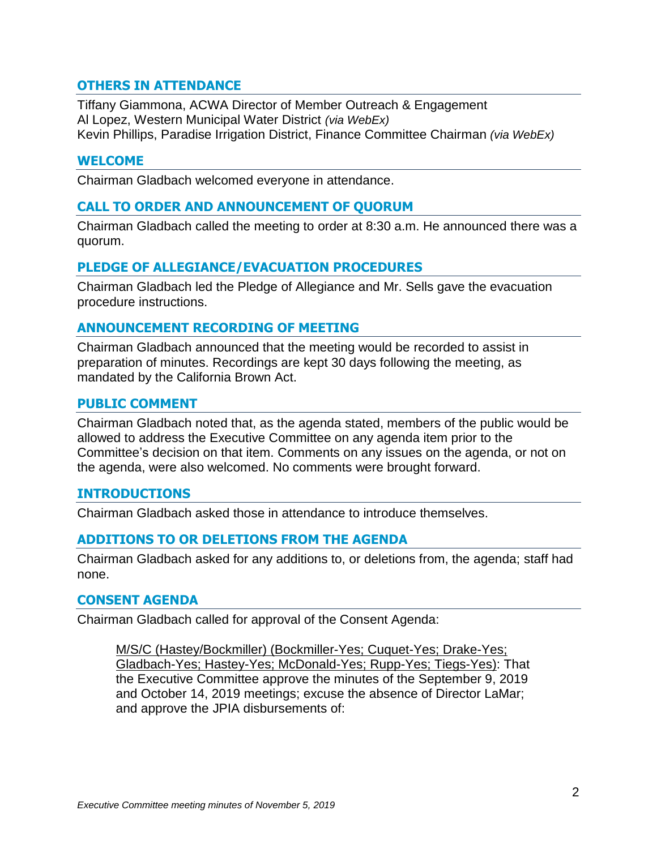# **OTHERS IN ATTENDANCE**

Tiffany Giammona, ACWA Director of Member Outreach & Engagement Al Lopez, Western Municipal Water District *(via WebEx)* Kevin Phillips, Paradise Irrigation District, Finance Committee Chairman *(via WebEx)*

### **WELCOME**

Chairman Gladbach welcomed everyone in attendance.

## **CALL TO ORDER AND ANNOUNCEMENT OF QUORUM**

Chairman Gladbach called the meeting to order at 8:30 a.m. He announced there was a quorum.

### **PLEDGE OF ALLEGIANCE/EVACUATION PROCEDURES**

Chairman Gladbach led the Pledge of Allegiance and Mr. Sells gave the evacuation procedure instructions.

# **ANNOUNCEMENT RECORDING OF MEETING**

Chairman Gladbach announced that the meeting would be recorded to assist in preparation of minutes. Recordings are kept 30 days following the meeting, as mandated by the California Brown Act.

#### **PUBLIC COMMENT**

Chairman Gladbach noted that, as the agenda stated, members of the public would be allowed to address the Executive Committee on any agenda item prior to the Committee's decision on that item. Comments on any issues on the agenda, or not on the agenda, were also welcomed. No comments were brought forward.

#### **INTRODUCTIONS**

Chairman Gladbach asked those in attendance to introduce themselves.

#### **ADDITIONS TO OR DELETIONS FROM THE AGENDA**

Chairman Gladbach asked for any additions to, or deletions from, the agenda; staff had none.

#### **CONSENT AGENDA**

Chairman Gladbach called for approval of the Consent Agenda:

M/S/C (Hastey/Bockmiller) (Bockmiller-Yes; Cuquet-Yes; Drake-Yes; Gladbach-Yes; Hastey-Yes; McDonald-Yes; Rupp-Yes; Tiegs-Yes): That the Executive Committee approve the minutes of the September 9, 2019 and October 14, 2019 meetings; excuse the absence of Director LaMar; and approve the JPIA disbursements of: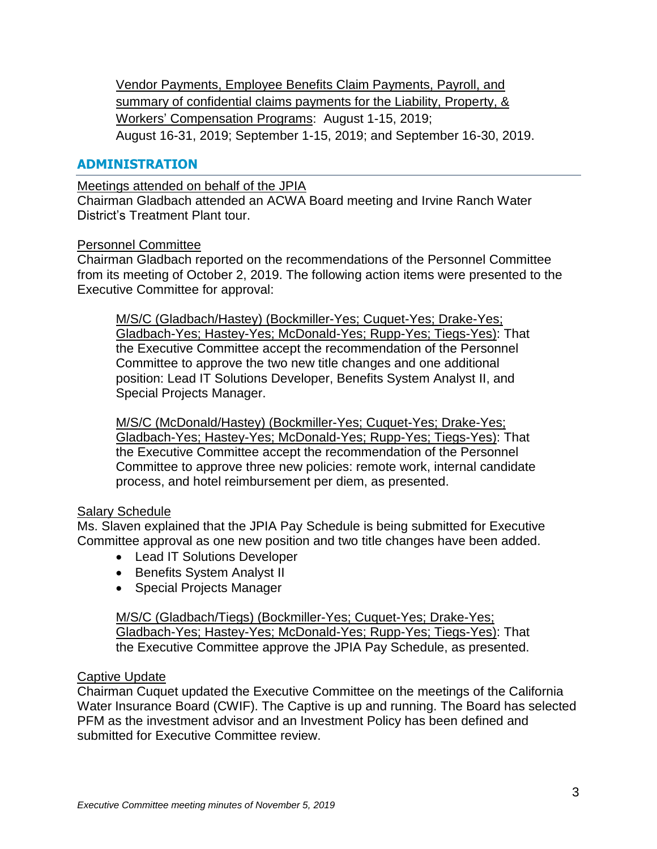Vendor Payments, Employee Benefits Claim Payments, Payroll, and summary of confidential claims payments for the Liability, Property, & Workers' Compensation Programs: August 1-15, 2019; August 16-31, 2019; September 1-15, 2019; and September 16-30, 2019.

# **ADMINISTRATION**

Meetings attended on behalf of the JPIA

Chairman Gladbach attended an ACWA Board meeting and Irvine Ranch Water District's Treatment Plant tour.

### Personnel Committee

Chairman Gladbach reported on the recommendations of the Personnel Committee from its meeting of October 2, 2019. The following action items were presented to the Executive Committee for approval:

M/S/C (Gladbach/Hastey) (Bockmiller-Yes; Cuquet-Yes; Drake-Yes; Gladbach-Yes; Hastey-Yes; McDonald-Yes; Rupp-Yes; Tiegs-Yes): That the Executive Committee accept the recommendation of the Personnel Committee to approve the two new title changes and one additional position: Lead IT Solutions Developer, Benefits System Analyst II, and Special Projects Manager.

M/S/C (McDonald/Hastey) (Bockmiller-Yes; Cuquet-Yes; Drake-Yes; Gladbach-Yes; Hastey-Yes; McDonald-Yes; Rupp-Yes; Tiegs-Yes): That the Executive Committee accept the recommendation of the Personnel Committee to approve three new policies: remote work, internal candidate process, and hotel reimbursement per diem, as presented.

# Salary Schedule

Ms. Slaven explained that the JPIA Pay Schedule is being submitted for Executive Committee approval as one new position and two title changes have been added.

- Lead IT Solutions Developer
- Benefits System Analyst II
- Special Projects Manager

M/S/C (Gladbach/Tiegs) (Bockmiller-Yes; Cuquet-Yes; Drake-Yes; Gladbach-Yes; Hastey-Yes; McDonald-Yes; Rupp-Yes; Tiegs-Yes): That the Executive Committee approve the JPIA Pay Schedule, as presented.

# Captive Update

Chairman Cuquet updated the Executive Committee on the meetings of the California Water Insurance Board (CWIF). The Captive is up and running. The Board has selected PFM as the investment advisor and an Investment Policy has been defined and submitted for Executive Committee review.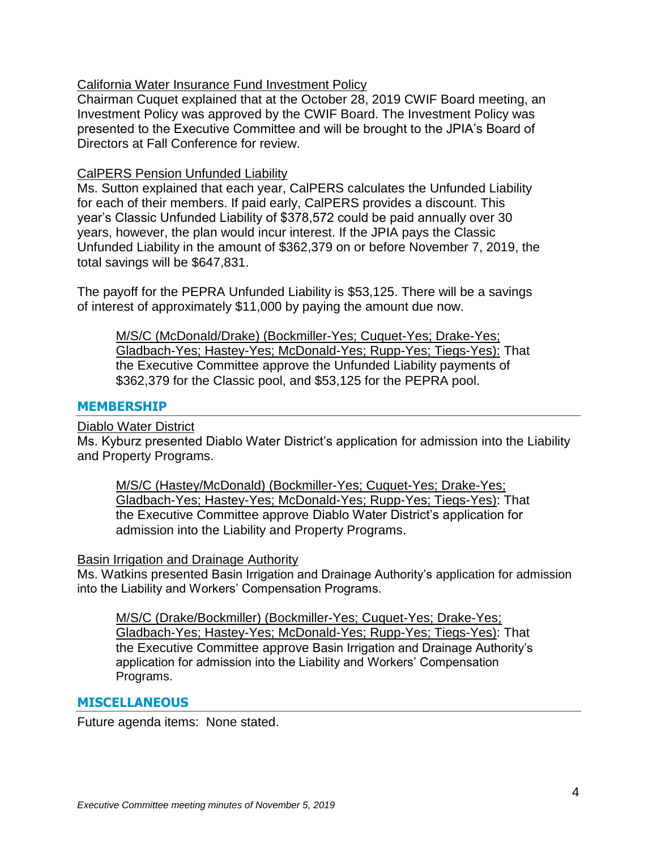# California Water Insurance Fund Investment Policy

Chairman Cuquet explained that at the October 28, 2019 CWIF Board meeting, an Investment Policy was approved by the CWIF Board. The Investment Policy was presented to the Executive Committee and will be brought to the JPIA's Board of Directors at Fall Conference for review.

#### CalPERS Pension Unfunded Liability

Ms. Sutton explained that each year, CalPERS calculates the Unfunded Liability for each of their members. If paid early, CalPERS provides a discount. This year's Classic Unfunded Liability of \$378,572 could be paid annually over 30 years, however, the plan would incur interest. If the JPIA pays the Classic Unfunded Liability in the amount of \$362,379 on or before November 7, 2019, the total savings will be \$647,831.

The payoff for the PEPRA Unfunded Liability is \$53,125. There will be a savings of interest of approximately \$11,000 by paying the amount due now.

M/S/C (McDonald/Drake) (Bockmiller-Yes; Cuquet-Yes; Drake-Yes; Gladbach-Yes; Hastey-Yes; McDonald-Yes; Rupp-Yes; Tiegs-Yes): That the Executive Committee approve the Unfunded Liability payments of \$362,379 for the Classic pool, and \$53,125 for the PEPRA pool.

### **MEMBERSHIP**

#### Diablo Water District

Ms. Kyburz presented Diablo Water District's application for admission into the Liability and Property Programs.

M/S/C (Hastey/McDonald) (Bockmiller-Yes; Cuquet-Yes; Drake-Yes; Gladbach-Yes; Hastey-Yes; McDonald-Yes; Rupp-Yes; Tiegs-Yes): That the Executive Committee approve Diablo Water District's application for admission into the Liability and Property Programs.

#### Basin Irrigation and Drainage Authority

Ms. Watkins presented Basin Irrigation and Drainage Authority's application for admission into the Liability and Workers' Compensation Programs.

M/S/C (Drake/Bockmiller) (Bockmiller-Yes; Cuquet-Yes; Drake-Yes; Gladbach-Yes; Hastey-Yes; McDonald-Yes; Rupp-Yes; Tiegs-Yes): That the Executive Committee approve Basin Irrigation and Drainage Authority's application for admission into the Liability and Workers' Compensation Programs.

# **MISCELLANEOUS**

Future agenda items: None stated.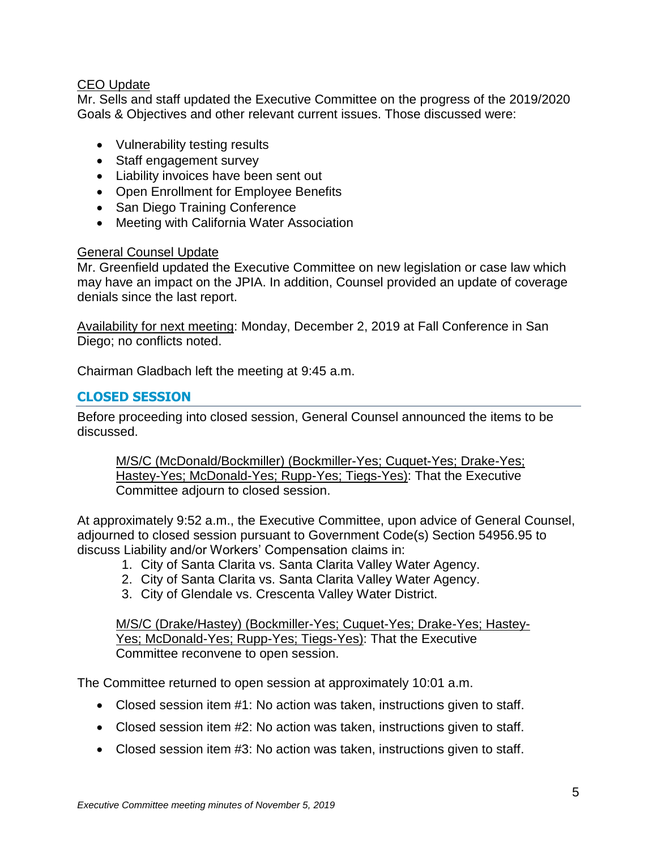# CEO Update

Mr. Sells and staff updated the Executive Committee on the progress of the 2019/2020 Goals & Objectives and other relevant current issues. Those discussed were:

- Vulnerability testing results
- Staff engagement survey
- Liability invoices have been sent out
- Open Enrollment for Employee Benefits
- San Diego Training Conference
- Meeting with California Water Association

### General Counsel Update

Mr. Greenfield updated the Executive Committee on new legislation or case law which may have an impact on the JPIA. In addition, Counsel provided an update of coverage denials since the last report.

Availability for next meeting: Monday, December 2, 2019 at Fall Conference in San Diego; no conflicts noted.

Chairman Gladbach left the meeting at 9:45 a.m.

# **CLOSED SESSION**

Before proceeding into closed session, General Counsel announced the items to be discussed.

M/S/C (McDonald/Bockmiller) (Bockmiller-Yes; Cuquet-Yes; Drake-Yes; Hastey-Yes; McDonald-Yes; Rupp-Yes; Tiegs-Yes): That the Executive Committee adjourn to closed session.

At approximately 9:52 a.m., the Executive Committee, upon advice of General Counsel, adjourned to closed session pursuant to Government Code(s) Section 54956.95 to discuss Liability and/or Workers' Compensation claims in:

- 1. City of Santa Clarita vs. Santa Clarita Valley Water Agency.
- 2. City of Santa Clarita vs. Santa Clarita Valley Water Agency.
- 3. City of Glendale vs. Crescenta Valley Water District.

M/S/C (Drake/Hastey) (Bockmiller-Yes; Cuquet-Yes; Drake-Yes; Hastey-Yes; McDonald-Yes; Rupp-Yes; Tiegs-Yes): That the Executive Committee reconvene to open session.

The Committee returned to open session at approximately 10:01 a.m.

- Closed session item #1: No action was taken, instructions given to staff.
- Closed session item #2: No action was taken, instructions given to staff.
- Closed session item #3: No action was taken, instructions given to staff.